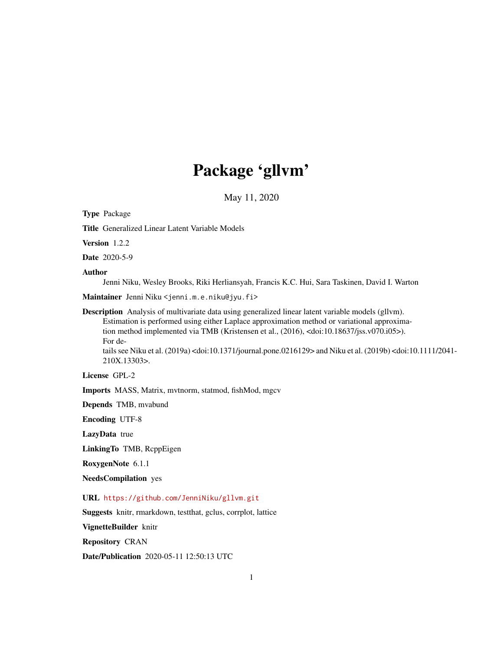# Package 'gllvm'

May 11, 2020

<span id="page-0-0"></span>Type Package Title Generalized Linear Latent Variable Models Version 1.2.2 Date 2020-5-9 Author Jenni Niku, Wesley Brooks, Riki Herliansyah, Francis K.C. Hui, Sara Taskinen, David I. Warton Maintainer Jenni Niku <jenni.m.e.niku@jyu.fi> Description Analysis of multivariate data using generalized linear latent variable models (gllvm). Estimation is performed using either Laplace approximation method or variational approximation method implemented via TMB (Kristensen et al., (2016), <doi:10.18637/jss.v070.i05>). For details see Niku et al. (2019a) <doi:10.1371/journal.pone.0216129> and Niku et al. (2019b) <doi:10.1111/2041- 210X.13303>. License GPL-2

Imports MASS, Matrix, mvtnorm, statmod, fishMod, mgcv

Depends TMB, mvabund

Encoding UTF-8

LazyData true

LinkingTo TMB, RcppEigen

RoxygenNote 6.1.1

NeedsCompilation yes

URL <https://github.com/JenniNiku/gllvm.git>

Suggests knitr, rmarkdown, testthat, gclus, corrplot, lattice

VignetteBuilder knitr

Repository CRAN

Date/Publication 2020-05-11 12:50:13 UTC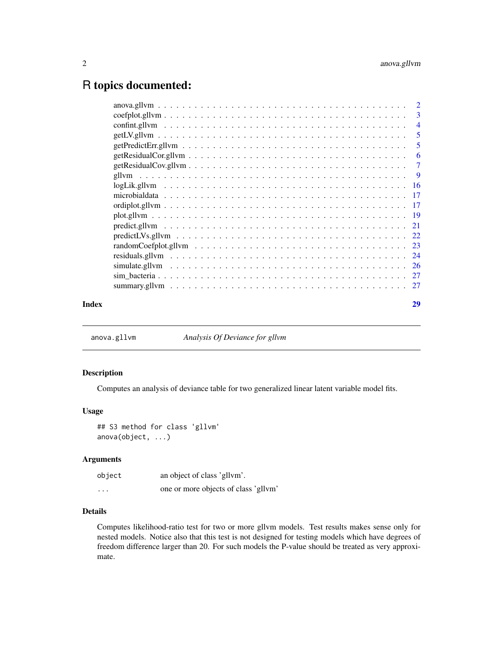# <span id="page-1-0"></span>R topics documented:

| Index | 29                         |
|-------|----------------------------|
|       |                            |
|       |                            |
|       |                            |
|       |                            |
|       |                            |
|       |                            |
|       |                            |
|       |                            |
|       |                            |
|       |                            |
|       |                            |
|       |                            |
|       |                            |
|       |                            |
|       |                            |
|       | $\overline{\phantom{0}}$ 5 |
|       |                            |
|       |                            |
|       |                            |

anova.gllvm *Analysis Of Deviance for gllvm*

# Description

Computes an analysis of deviance table for two generalized linear latent variable model fits.

# Usage

```
## S3 method for class 'gllvm'
anova(object, ...)
```
# Arguments

| object   | an object of class 'gllym'.          |
|----------|--------------------------------------|
| $\cdots$ | one or more objects of class 'gllvm' |

# Details

Computes likelihood-ratio test for two or more gllvm models. Test results makes sense only for nested models. Notice also that this test is not designed for testing models which have degrees of freedom difference larger than 20. For such models the P-value should be treated as very approximate.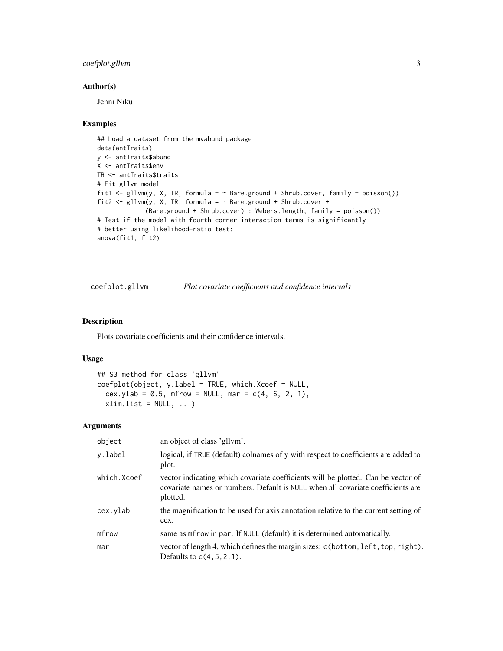# <span id="page-2-0"></span>coefplot.gllvm 3

# Author(s)

Jenni Niku

#### Examples

```
## Load a dataset from the mvabund package
data(antTraits)
y <- antTraits$abund
X <- antTraits$env
TR <- antTraits$traits
# Fit gllvm model
fit1 <- gllvm(y, X, TR, formula = \sim Bare.ground + Shrub.cover, family = poisson())
fit2 <- gllvm(y, X, TR, formula = \sim Bare.ground + Shrub.cover +
             (Bare.ground + Shrub.cover) : Webers.length, family = poisson())
# Test if the model with fourth corner interaction terms is significantly
# better using likelihood-ratio test:
anova(fit1, fit2)
```
<span id="page-2-1"></span>

| coefplot.gllvm | Plot covariate coefficients and confidence intervals |  |
|----------------|------------------------------------------------------|--|
|                |                                                      |  |

# Description

Plots covariate coefficients and their confidence intervals.

# Usage

```
## S3 method for class 'gllvm'
coefplot(object, y.label = TRUE, which.Xcoef = NULL,
  cex.ylab = 0.5, mfrow = NULL, mar = c(4, 6, 2, 1),
  xlim.list = NULL, ...)
```
# Arguments

| object      | an object of class 'gllym'.                                                                                                                                                     |
|-------------|---------------------------------------------------------------------------------------------------------------------------------------------------------------------------------|
| y.label     | logical, if TRUE (default) colnames of y with respect to coefficients are added to<br>plot.                                                                                     |
| which.Xcoef | vector indicating which covariate coefficients will be plotted. Can be vector of<br>covariate names or numbers. Default is NULL when all covariate coefficients are<br>plotted. |
| cex.ylab    | the magnification to be used for axis annotation relative to the current setting of<br>cex.                                                                                     |
| mfrow       | same as mfrow in par. If NULL (default) it is determined automatically.                                                                                                         |
| mar         | vector of length 4, which defines the margin sizes: c(bottom, left, top, right).<br>Defaults to $c(4,5,2,1)$ .                                                                  |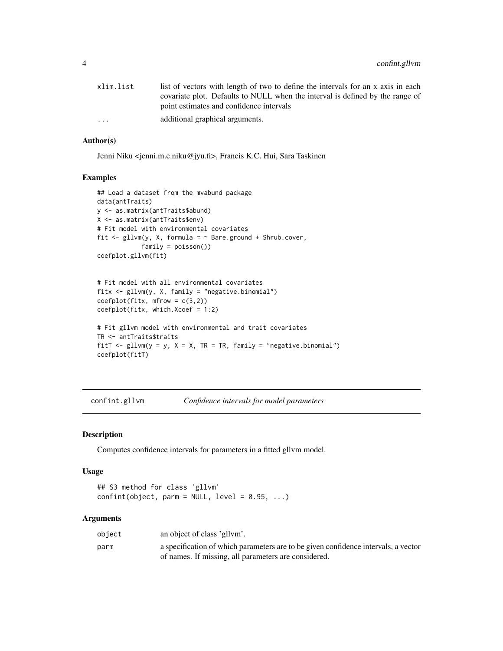<span id="page-3-0"></span>

| xlim.list               | list of vectors with length of two to define the intervals for an x axis in each |
|-------------------------|----------------------------------------------------------------------------------|
|                         | covariate plot. Defaults to NULL when the interval is defined by the range of    |
|                         | point estimates and confidence intervals                                         |
| $\cdot$ $\cdot$ $\cdot$ | additional graphical arguments.                                                  |
|                         |                                                                                  |

# Author(s)

Jenni Niku <jenni.m.e.niku@jyu.fi>, Francis K.C. Hui, Sara Taskinen

# Examples

```
## Load a dataset from the mvabund package
data(antTraits)
y <- as.matrix(antTraits$abund)
X <- as.matrix(antTraits$env)
# Fit model with environmental covariates
fit \le gllvm(y, X, formula = \sim Bare.ground + Shrub.cover,
            family = poisson())
coefplot.gllvm(fit)
# Fit model with all environmental covariates
fitx <- gllvm(y, X, family = "negative.binomial")
coefflot(fitx, mfrow = c(3,2))coefplot(fitx, which.Xcoef = 1:2)
# Fit gllvm model with environmental and trait covariates
TR <- antTraits$traits
fitT \le gllvm(y = y, X = X, TR = TR, family = "negative.binomial")
```

```
coefplot(fitT)
```
<span id="page-3-1"></span>confint.gllvm *Confidence intervals for model parameters*

# Description

Computes confidence intervals for parameters in a fitted gllvm model.

# Usage

```
## S3 method for class 'gllvm'
confint(object, parm = NULL, level = 0.95, ...)
```
## Arguments

| object | an object of class 'gllym'.                                                        |
|--------|------------------------------------------------------------------------------------|
| parm   | a specification of which parameters are to be given confidence intervals, a vector |
|        | of names. If missing, all parameters are considered.                               |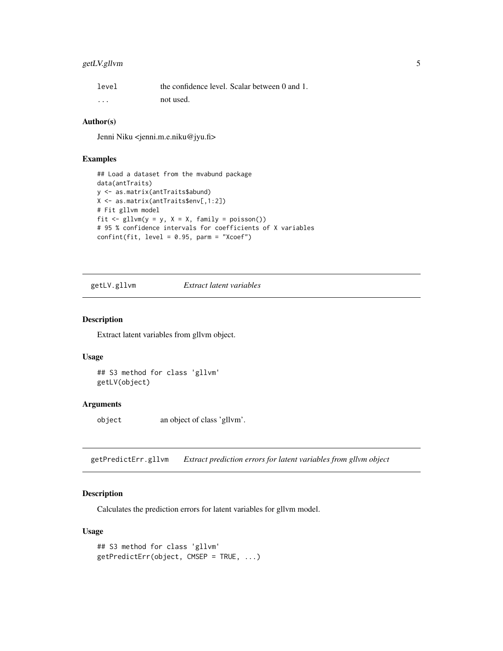# <span id="page-4-0"></span>getLV.gllvm 5

| level    |           | the confidence level. Scalar between 0 and 1. |
|----------|-----------|-----------------------------------------------|
| $\cdots$ | not used. |                                               |

# Author(s)

Jenni Niku <jenni.m.e.niku@jyu.fi>

# Examples

```
## Load a dataset from the mvabund package
data(antTraits)
y <- as.matrix(antTraits$abund)
X <- as.matrix(antTraits$env[,1:2])
# Fit gllvm model
fit \le gllvm(y = y, X = X, family = poisson())
# 95 % confidence intervals for coefficients of X variables
confint(fit, level = 0.95, parm = "Xcoef")
```
getLV.gllvm *Extract latent variables*

# Description

Extract latent variables from gllvm object.

# Usage

## S3 method for class 'gllvm' getLV(object)

# Arguments

object an object of class 'gllvm'.

getPredictErr.gllvm *Extract prediction errors for latent variables from gllvm object*

# Description

Calculates the prediction errors for latent variables for gllvm model.

```
## S3 method for class 'gllvm'
getPredictErr(object, CMSEP = TRUE, ...)
```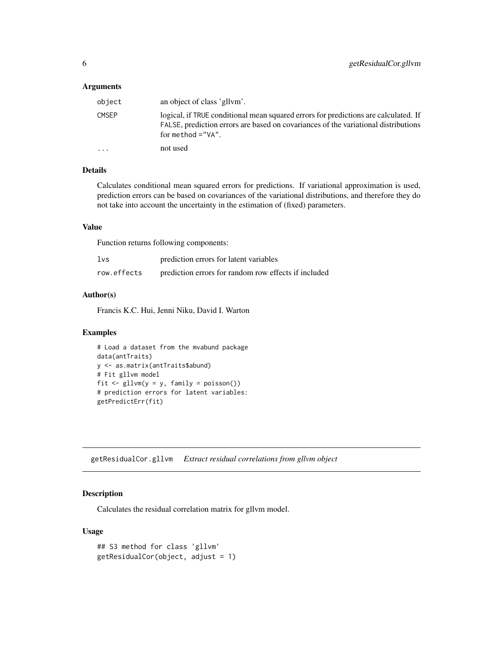<span id="page-5-0"></span>

| object       | an object of class 'gllym'.                                                                                                                                                                       |
|--------------|---------------------------------------------------------------------------------------------------------------------------------------------------------------------------------------------------|
| <b>CMSEP</b> | logical, if TRUE conditional mean squared errors for predictions are calculated. If<br>FALSE, prediction errors are based on covariances of the variational distributions<br>for method $=$ "VA". |
| $\cdot$      | not used                                                                                                                                                                                          |

# Details

Calculates conditional mean squared errors for predictions. If variational approximation is used, prediction errors can be based on covariances of the variational distributions, and therefore they do not take into account the uncertainty in the estimation of (fixed) parameters.

# Value

Function returns following components:

| lvs         | prediction errors for latent variables               |
|-------------|------------------------------------------------------|
| row.effects | prediction errors for random row effects if included |

# Author(s)

Francis K.C. Hui, Jenni Niku, David I. Warton

#### Examples

```
# Load a dataset from the mvabund package
data(antTraits)
y <- as.matrix(antTraits$abund)
# Fit gllvm model
fit \le gllvm(y = y, family = poisson())
# prediction errors for latent variables:
getPredictErr(fit)
```
getResidualCor.gllvm *Extract residual correlations from gllvm object*

# Description

Calculates the residual correlation matrix for gllvm model.

```
## S3 method for class 'gllvm'
getResidualCor(object, adjust = 1)
```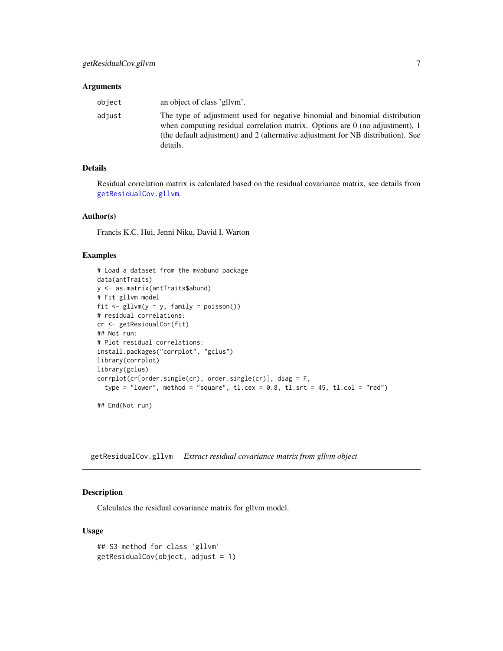<span id="page-6-0"></span>

| object | an object of class 'gllym'.                                                                                                                                                                                                                                   |
|--------|---------------------------------------------------------------------------------------------------------------------------------------------------------------------------------------------------------------------------------------------------------------|
| adjust | The type of adjustment used for negative binomial and binomial distribution<br>when computing residual correlation matrix. Options are $0$ (no adjustment), 1<br>(the default adjustment) and 2 (alternative adjustment for NB distribution). See<br>details. |

# Details

Residual correlation matrix is calculated based on the residual covariance matrix, see details from [getResidualCov.gllvm](#page-6-1).

# Author(s)

Francis K.C. Hui, Jenni Niku, David I. Warton

#### Examples

```
# Load a dataset from the mvabund package
data(antTraits)
y <- as.matrix(antTraits$abund)
# Fit gllvm model
fit <- gllvm(y = y, family = poisson())
# residual correlations:
cr <- getResidualCor(fit)
## Not run:
# Plot residual correlations:
install.packages("corrplot", "gclus")
library(corrplot)
library(gclus)
corrplot(cr[order.single(cr), order.single(cr)], diag = F,
  type = "lower", method = "square", tl.cex = 0.8, tl.srt = 45, tl.col = "red")
```
## End(Not run)

<span id="page-6-1"></span>getResidualCov.gllvm *Extract residual covariance matrix from gllvm object*

# Description

Calculates the residual covariance matrix for gllvm model.

```
## S3 method for class 'gllvm'
getResidualCov(object, adjust = 1)
```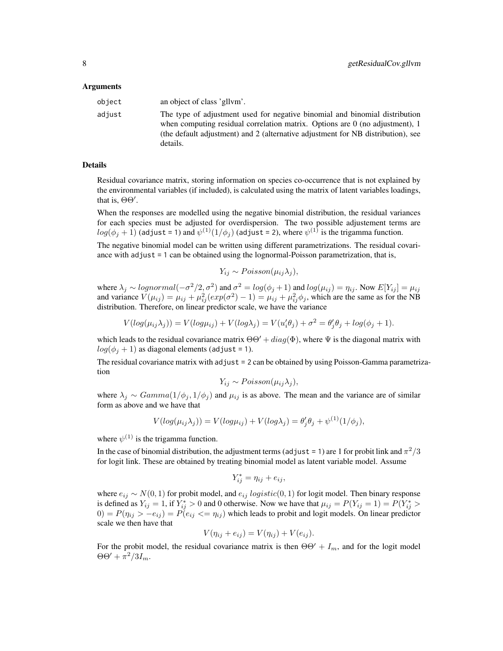| object | an object of class 'gllym'.                                                                                                                                                                                                                                        |
|--------|--------------------------------------------------------------------------------------------------------------------------------------------------------------------------------------------------------------------------------------------------------------------|
| adjust | The type of adjustment used for negative binomial and binomial distribution<br>when computing residual correlation matrix. Options are $\theta$ (no adjustment), 1<br>(the default adjustment) and 2 (alternative adjustment for NB distribution), see<br>details. |

# Details

Residual covariance matrix, storing information on species co-occurrence that is not explained by the environmental variables (if included), is calculated using the matrix of latent variables loadings, that is,  $\Theta\Theta'$ .

When the responses are modelled using the negative binomial distribution, the residual variances for each species must be adjusted for overdispersion. The two possible adjustement terms are  $log(\phi_j+1)$  (adjust = 1) and  $\psi^{(1)}(1/\phi_j)$  (adjust = 2), where  $\psi^{(1)}$  is the trigamma function.

The negative binomial model can be written using different parametrizations. The residual covariance with adjust = 1 can be obtained using the lognormal-Poisson parametrization, that is,

$$
Y_{ij} \sim Poisson(\mu_{ij}\lambda_j),
$$

where  $\lambda_j \sim lognormal(-\sigma^2/2, \sigma^2)$  and  $\sigma^2 = log(\phi_j + 1)$  and  $log(\mu_{ij}) = \eta_{ij}$ . Now  $E[Y_{ij}] = \mu_{ij}$ and variance  $V(\mu_{ij}) = \mu_{ij} + \mu_{ij}^2(exp(\sigma^2) - 1) = \mu_{ij} + \mu_{ij}^2\phi_j$ , which are the same as for the NB distribution. Therefore, on linear predictor scale, we have the variance

$$
V(log(\mu_{ij}\lambda_j)) = V(log\mu_{ij}) + V(log\lambda_j) = V(u'_i\theta_j) + \sigma^2 = \theta'_j\theta_j + log(\phi_j + 1).
$$

which leads to the residual covariance matrix  $\Theta\Theta' + diag(\Phi)$ , where  $\Psi$  is the diagonal matrix with  $log(\phi_j + 1)$  as diagonal elements (adjust = 1).

The residual covariance matrix with adjust = 2 can be obtained by using Poisson-Gamma parametrization

$$
Y_{ij} \sim Poisson(\mu_{ij}\lambda_j),
$$

where  $\lambda_i \sim Gamma(1/\phi_i, 1/\phi_i)$  and  $\mu_{ij}$  is as above. The mean and the variance are of similar form as above and we have that

$$
V(log(\mu_{ij}\lambda_j)) = V(log\mu_{ij}) + V(log\lambda_j) = \theta'_j \theta_j + \psi^{(1)}(1/\phi_j),
$$

where  $\psi^{(1)}$  is the trigamma function.

In the case of binomial distribution, the adjustment terms (adjust = 1) are 1 for probit link and  $\pi^2/3$ for logit link. These are obtained by treating binomial model as latent variable model. Assume

$$
Y_{ij}^* = \eta_{ij} + e_{ij},
$$

where  $e_{ij} \sim N(0, 1)$  for probit model, and  $e_{ij}$  logistic(0, 1) for logit model. Then binary response is defined as  $Y_{ij} = 1$ , if  $Y_{ij}^* > 0$  and 0 otherwise. Now we have that  $\mu_{ij} = P(Y_{ij} = 1) = P(Y_{ij}^*)$  $0 = P(\eta_{ij} > -e_{ij}) = P(e_{ij} < = \eta_{ij})$  which leads to probit and logit models. On linear predictor scale we then have that

$$
V(\eta_{ij} + e_{ij}) = V(\eta_{ij}) + V(e_{ij}).
$$

For the probit model, the residual covariance matrix is then  $\Theta\Theta' + I_m$ , and for the logit model  $\Theta \Theta' + \pi^2/3I_m.$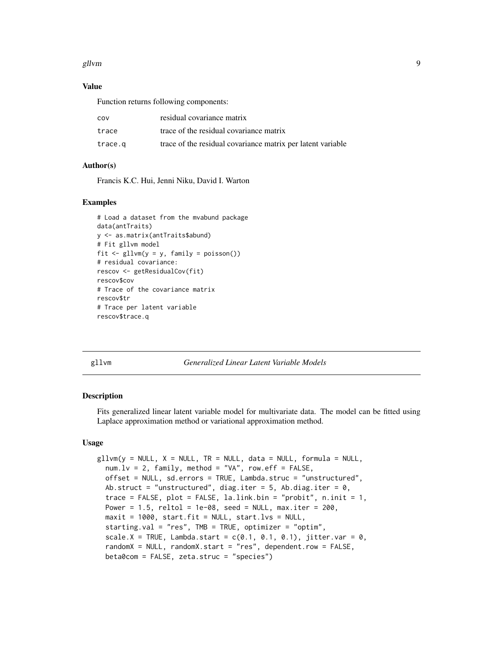#### <span id="page-8-0"></span>gllvm and the set of the set of the set of the set of the set of the set of the set of the set of the set of the set of the set of the set of the set of the set of the set of the set of the set of the set of the set of the

# Value

Function returns following components:

| COV     | residual covariance matrix                                  |
|---------|-------------------------------------------------------------|
| trace   | trace of the residual covariance matrix                     |
| trace.g | trace of the residual covariance matrix per latent variable |

# Author(s)

Francis K.C. Hui, Jenni Niku, David I. Warton

# Examples

```
# Load a dataset from the mvabund package
data(antTraits)
y <- as.matrix(antTraits$abund)
# Fit gllvm model
fit \leq gllvm(y = y, family = poisson())
# residual covariance:
rescov <- getResidualCov(fit)
rescov$cov
# Trace of the covariance matrix
rescov$tr
# Trace per latent variable
rescov$trace.q
```
<span id="page-8-1"></span>gllvm *Generalized Linear Latent Variable Models*

## Description

Fits generalized linear latent variable model for multivariate data. The model can be fitted using Laplace approximation method or variational approximation method.

```
gllvm(y = NULL, X = NULL, TR = NULL, data = NULL, formula = NULL,num.lv = 2, family, method = "VA", row.eff = FALSE,
 offset = NULL, sd.errors = TRUE, Lambda.struc = "unstructured",
 Ab.struct = "unstructured", diag.iter = 5, Ab.diag.iter = \theta,
  trace = FALSE, plot = FALSE, la.link.bin = "probit", n.init = 1,
 Power = 1.5, reltol = 1e-08, seed = NULL, max.iter = 200.
 maxit = 1000, start.fit = NULL, start.lvs = NULL,
  starting.val = "res", TMB = TRUE, optimizer = "optim",
  scale.X = TRUE, Lambda.start = c(0.1, 0.1, 0.1), jitter.var = 0,
  randomX = NULL, randomX.start = "res", dependent.row = FALSE,
 beta0com = FALSE, zeta.struc = "species")
```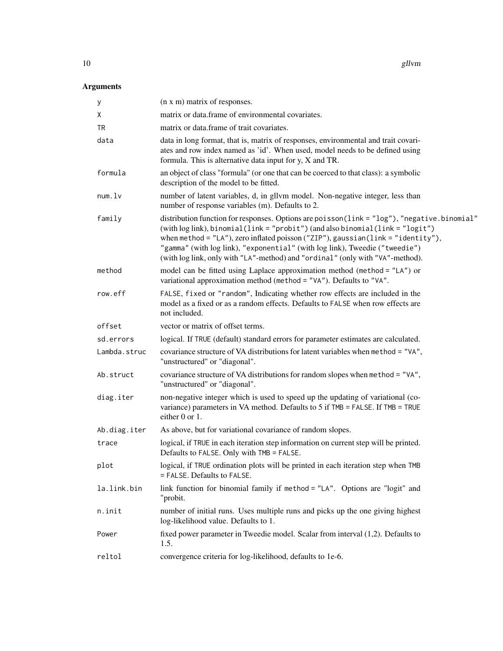| у            | (n x m) matrix of responses.                                                                                                                                                                                                                                                                                                                                                                                                            |
|--------------|-----------------------------------------------------------------------------------------------------------------------------------------------------------------------------------------------------------------------------------------------------------------------------------------------------------------------------------------------------------------------------------------------------------------------------------------|
| Χ            | matrix or data.frame of environmental covariates.                                                                                                                                                                                                                                                                                                                                                                                       |
| TR           | matrix or data.frame of trait covariates.                                                                                                                                                                                                                                                                                                                                                                                               |
| data         | data in long format, that is, matrix of responses, environmental and trait covari-<br>ates and row index named as 'id'. When used, model needs to be defined using<br>formula. This is alternative data input for $y$ , $X$ and TR.                                                                                                                                                                                                     |
| formula      | an object of class "formula" (or one that can be coerced to that class): a symbolic<br>description of the model to be fitted.                                                                                                                                                                                                                                                                                                           |
| num.         | number of latent variables, d, in gllvm model. Non-negative integer, less than<br>number of response variables (m). Defaults to 2.                                                                                                                                                                                                                                                                                                      |
| family       | distribution function for responses. Options are poisson(link = "log"), "negative.binomial"<br>(with log link), binomial(link = "probit") (and also binomial(link = "logit")<br>when method = $"LA"$ ), zero inflated poisson ("ZIP"), gaussian( $link = "identity")$ ,<br>"gamma" (with log link), "exponential" (with log link), Tweedie ("tweedie")<br>(with log link, only with "LA"-method) and "ordinal" (only with "VA"-method). |
| method       | model can be fitted using Laplace approximation method (method = "LA") or<br>variational approximation method (method = "VA"). Defaults to "VA".                                                                                                                                                                                                                                                                                        |
| row.eff      | FALSE, fixed or "random", Indicating whether row effects are included in the<br>model as a fixed or as a random effects. Defaults to FALSE when row effects are<br>not included.                                                                                                                                                                                                                                                        |
| offset       | vector or matrix of offset terms.                                                                                                                                                                                                                                                                                                                                                                                                       |
| sd.errors    | logical. If TRUE (default) standard errors for parameter estimates are calculated.                                                                                                                                                                                                                                                                                                                                                      |
| Lambda.struc | covariance structure of VA distributions for latent variables when method = "VA",<br>"unstructured" or "diagonal".                                                                                                                                                                                                                                                                                                                      |
| Ab.struct    | covariance structure of VA distributions for random slopes when method = "VA",<br>"unstructured" or "diagonal".                                                                                                                                                                                                                                                                                                                         |
| diag.iter    | non-negative integer which is used to speed up the updating of variational (co-<br>variance) parameters in VA method. Defaults to 5 if TMB = FALSE. If TMB = TRUE<br>either 0 or 1.                                                                                                                                                                                                                                                     |
| Ab.diag.iter | As above, but for variational covariance of random slopes.                                                                                                                                                                                                                                                                                                                                                                              |
| trace        | logical, if TRUE in each iteration step information on current step will be printed.<br>Defaults to FALSE. Only with TMB = FALSE.                                                                                                                                                                                                                                                                                                       |
| plot         | logical, if TRUE ordination plots will be printed in each iteration step when TMB<br>= FALSE. Defaults to FALSE.                                                                                                                                                                                                                                                                                                                        |
| la.link.bin  | link function for binomial family if method = "LA". Options are "logit" and<br>"probit.                                                                                                                                                                                                                                                                                                                                                 |
| n.init       | number of initial runs. Uses multiple runs and picks up the one giving highest<br>log-likelihood value. Defaults to 1.                                                                                                                                                                                                                                                                                                                  |
| Power        | fixed power parameter in Tweedie model. Scalar from interval (1,2). Defaults to<br>1.5.                                                                                                                                                                                                                                                                                                                                                 |
| reltol       | convergence criteria for log-likelihood, defaults to 1e-6.                                                                                                                                                                                                                                                                                                                                                                              |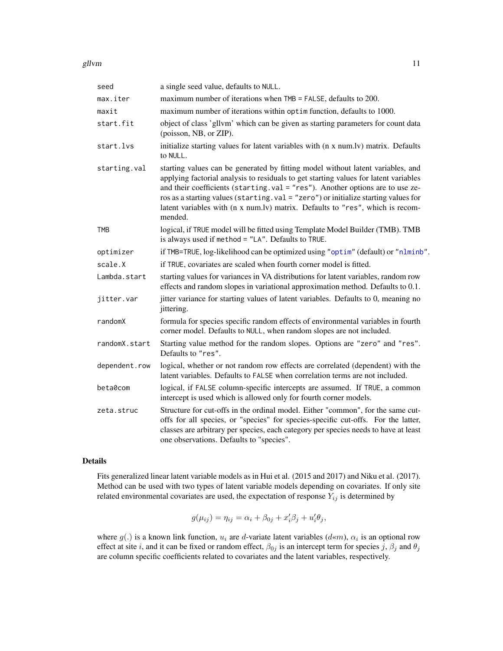<span id="page-10-0"></span>gllvm and the state of the state of the state of the state of the state of the state of the state of the state of the state of the state of the state of the state of the state of the state of the state of the state of the

| seed          | a single seed value, defaults to NULL.                                                                                                                                                                                                                                                                                                                                                                                                     |
|---------------|--------------------------------------------------------------------------------------------------------------------------------------------------------------------------------------------------------------------------------------------------------------------------------------------------------------------------------------------------------------------------------------------------------------------------------------------|
| max.iter      | maximum number of iterations when TMB = FALSE, defaults to 200.                                                                                                                                                                                                                                                                                                                                                                            |
| maxit         | maximum number of iterations within optim function, defaults to 1000.                                                                                                                                                                                                                                                                                                                                                                      |
| start.fit     | object of class 'gllvm' which can be given as starting parameters for count data<br>(poisson, NB, or ZIP).                                                                                                                                                                                                                                                                                                                                 |
| start.lvs     | initialize starting values for latent variables with (n x num.lv) matrix. Defaults<br>to NULL.                                                                                                                                                                                                                                                                                                                                             |
| starting.val  | starting values can be generated by fitting model without latent variables, and<br>applying factorial analysis to residuals to get starting values for latent variables<br>and their coefficients (starting.val = "res"). Another options are to use ze-<br>ros as a starting values (starting.val = "zero") or initialize starting values for<br>latent variables with (n x num.lv) matrix. Defaults to "res", which is recom-<br>mended. |
| <b>TMB</b>    | logical, if TRUE model will be fitted using Template Model Builder (TMB). TMB<br>is always used if method = "LA". Defaults to TRUE.                                                                                                                                                                                                                                                                                                        |
| optimizer     | if TMB=TRUE, log-likelihood can be optimized using "optim" (default) or "nlminb".                                                                                                                                                                                                                                                                                                                                                          |
| scale.X       | if TRUE, covariates are scaled when fourth corner model is fitted.                                                                                                                                                                                                                                                                                                                                                                         |
| Lambda.start  | starting values for variances in VA distributions for latent variables, random row<br>effects and random slopes in variational approximation method. Defaults to 0.1.                                                                                                                                                                                                                                                                      |
| jitter.var    | jitter variance for starting values of latent variables. Defaults to 0, meaning no<br>jittering.                                                                                                                                                                                                                                                                                                                                           |
| randomX       | formula for species specific random effects of environmental variables in fourth<br>corner model. Defaults to NULL, when random slopes are not included.                                                                                                                                                                                                                                                                                   |
| randomX.start | Starting value method for the random slopes. Options are "zero" and "res".<br>Defaults to "res".                                                                                                                                                                                                                                                                                                                                           |
| dependent.row | logical, whether or not random row effects are correlated (dependent) with the<br>latent variables. Defaults to FALSE when correlation terms are not included.                                                                                                                                                                                                                                                                             |
| beta0com      | logical, if FALSE column-specific intercepts are assumed. If TRUE, a common<br>intercept is used which is allowed only for fourth corner models.                                                                                                                                                                                                                                                                                           |
| zeta.struc    | Structure for cut-offs in the ordinal model. Either "common", for the same cut-<br>offs for all species, or "species" for species-specific cut-offs. For the latter,<br>classes are arbitrary per species, each category per species needs to have at least<br>one observations. Defaults to "species".                                                                                                                                    |

# Details

Fits generalized linear latent variable models as in Hui et al. (2015 and 2017) and Niku et al. (2017). Method can be used with two types of latent variable models depending on covariates. If only site related environmental covariates are used, the expectation of response  $Y_{ij}$  is determined by

$$
g(\mu_{ij}) = \eta_{ij} = \alpha_i + \beta_{0j} + x_i'\beta_j + u_i'\theta_j,
$$

where  $g(.)$  is a known link function,  $u_i$  are d-variate latent variables  $(d \ll m)$ ,  $\alpha_i$  is an optional row effect at site i, and it can be fixed or random effect,  $\beta_{0j}$  is an intercept term for species j,  $\beta_j$  and  $\theta_j$ are column specific coefficients related to covariates and the latent variables, respectively.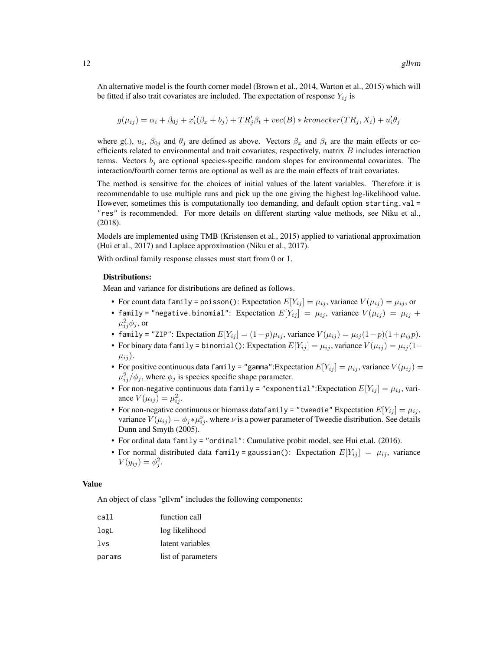An alternative model is the fourth corner model (Brown et al., 2014, Warton et al., 2015) which will be fitted if also trait covariates are included. The expectation of response  $Y_{ij}$  is

$$
g(\mu_{ij}) = \alpha_i + \beta_{0j} + x_i'(\beta_x + b_j) + TR_j'\beta_t + vec(B) * kronecker(TR_j, X_i) + u_i'\theta_j
$$

where g(.),  $u_i$ ,  $\beta_{0j}$  and  $\theta_j$  are defined as above. Vectors  $\beta_x$  and  $\beta_t$  are the main effects or coefficients related to environmental and trait covariates, respectively, matrix  $B$  includes interaction terms. Vectors  $b_j$  are optional species-specific random slopes for environmental covariates. The interaction/fourth corner terms are optional as well as are the main effects of trait covariates.

The method is sensitive for the choices of initial values of the latent variables. Therefore it is recommendable to use multiple runs and pick up the one giving the highest log-likelihood value. However, sometimes this is computationally too demanding, and default option starting.val = "res" is recommended. For more details on different starting value methods, see Niku et al., (2018).

Models are implemented using TMB (Kristensen et al., 2015) applied to variational approximation (Hui et al., 2017) and Laplace approximation (Niku et al., 2017).

With ordinal family response classes must start from 0 or 1.

#### Distributions:

Mean and variance for distributions are defined as follows.

- For count data family = poisson(): Expectation  $E[Y_{ij}] = \mu_{ij}$ , variance  $V(\mu_{ij}) = \mu_{ij}$ , or
- family = "negative.binomial": Expectation  $E[Y_{ij}] = \mu_{ij}$ , variance  $V(\mu_{ij}) = \mu_{ij} +$  $\mu_{ij}^2 \phi_j$ , or
- family = "ZIP": Expectation  $E[Y_{ij}] = (1-p)\mu_{ij}$ , variance  $V(\mu_{ij}) = \mu_{ij}(1-p)(1+\mu_{ij}p)$ .
- For binary data family = binomial(): Expectation  $E[Y_{ij}] = \mu_{ij}$ , variance  $V(\mu_{ij}) = \mu_{ij} (1-\mu_{ij})$  $\mu_{ij}$ ).
- For positive continuous data family = "gamma": Expectation  $E[Y_{ij}] = \mu_{ij}$ , variance  $V(\mu_{ij}) =$  $\mu_{ij}^2/\phi_j$ , where  $\phi_j$  is species specific shape parameter.
- For non-negative continuous data family = "exponential":Expectation  $E[Y_{ij}] = \mu_{ij}$ , variance  $V(\mu_{ij}) = \mu_{ij}^2$ .
- For non-negative continuous or biomass data family = "tweedie" Expectation  $E[Y_{ij}] = \mu_{ij}$ , variance  $V(\mu_{ij}) = \phi_j * \mu_{ij}^{\nu}$ , where  $\nu$  is a power parameter of Tweedie distribution. See details Dunn and Smyth (2005).
- For ordinal data family = "ordinal": Cumulative probit model, see Hui et.al. (2016).
- For normal distributed data family = gaussian(): Expectation  $E[Y_{ij}] = \mu_{ij}$ , variance  $V(y_{ij}) = \phi_j^2$ .

#### Value

An object of class "gllvm" includes the following components:

| cal l  | function call      |
|--------|--------------------|
| logL   | log likelihood     |
| 1vs    | latent variables   |
| params | list of parameters |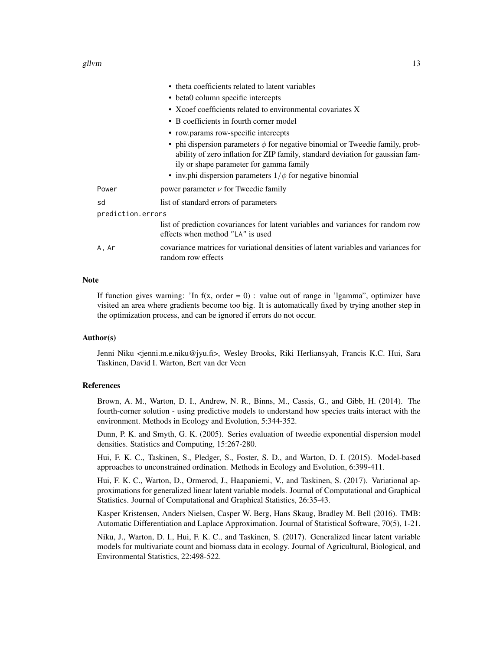gllvm and the state of the state of the state of the state of the state of the state of the state of the state of the state of the state of the state of the state of the state of the state of the state of the state of the

|                                                            | • theta coefficients related to latent variables                                                                                                                                                               |  |
|------------------------------------------------------------|----------------------------------------------------------------------------------------------------------------------------------------------------------------------------------------------------------------|--|
| • beta0 column specific intercepts                         |                                                                                                                                                                                                                |  |
| • Xcoef coefficients related to environmental covariates X |                                                                                                                                                                                                                |  |
|                                                            | • B coefficients in fourth corner model                                                                                                                                                                        |  |
| • row.params row-specific intercepts                       |                                                                                                                                                                                                                |  |
|                                                            | • phi dispersion parameters $\phi$ for negative binomial or Tweedie family, prob-<br>ability of zero inflation for ZIP family, standard deviation for gaussian fam-<br>ily or shape parameter for gamma family |  |
|                                                            | • inv.phi dispersion parameters $1/\phi$ for negative binomial                                                                                                                                                 |  |
| Power                                                      | power parameter $\nu$ for Tweedie family                                                                                                                                                                       |  |
| sd                                                         | list of standard errors of parameters                                                                                                                                                                          |  |
| prediction.errors                                          |                                                                                                                                                                                                                |  |
|                                                            | list of prediction covariances for latent variables and variances for random row<br>effects when method "LA" is used                                                                                           |  |
| A, Ar                                                      | covariance matrices for variational densities of latent variables and variances for<br>random row effects                                                                                                      |  |

# **Note**

If function gives warning: 'In f(x, order  $= 0$ ) : value out of range in 'Igamma'', optimizer have visited an area where gradients become too big. It is automatically fixed by trying another step in the optimization process, and can be ignored if errors do not occur.

# Author(s)

Jenni Niku <jenni.m.e.niku@jyu.fi>, Wesley Brooks, Riki Herliansyah, Francis K.C. Hui, Sara Taskinen, David I. Warton, Bert van der Veen

#### References

Brown, A. M., Warton, D. I., Andrew, N. R., Binns, M., Cassis, G., and Gibb, H. (2014). The fourth-corner solution - using predictive models to understand how species traits interact with the environment. Methods in Ecology and Evolution, 5:344-352.

Dunn, P. K. and Smyth, G. K. (2005). Series evaluation of tweedie exponential dispersion model densities. Statistics and Computing, 15:267-280.

Hui, F. K. C., Taskinen, S., Pledger, S., Foster, S. D., and Warton, D. I. (2015). Model-based approaches to unconstrained ordination. Methods in Ecology and Evolution, 6:399-411.

Hui, F. K. C., Warton, D., Ormerod, J., Haapaniemi, V., and Taskinen, S. (2017). Variational approximations for generalized linear latent variable models. Journal of Computational and Graphical Statistics. Journal of Computational and Graphical Statistics, 26:35-43.

Kasper Kristensen, Anders Nielsen, Casper W. Berg, Hans Skaug, Bradley M. Bell (2016). TMB: Automatic Differentiation and Laplace Approximation. Journal of Statistical Software, 70(5), 1-21.

Niku, J., Warton, D. I., Hui, F. K. C., and Taskinen, S. (2017). Generalized linear latent variable models for multivariate count and biomass data in ecology. Journal of Agricultural, Biological, and Environmental Statistics, 22:498-522.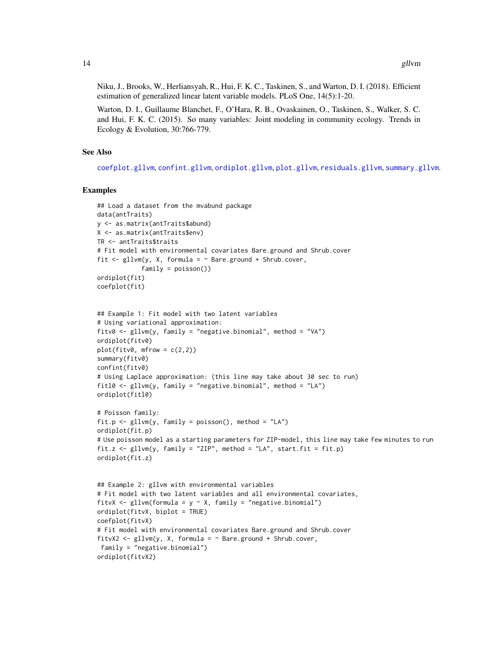<span id="page-13-0"></span>Niku, J., Brooks, W., Herliansyah, R., Hui, F. K. C., Taskinen, S., and Warton, D. I. (2018). Efficient estimation of generalized linear latent variable models. PLoS One, 14(5):1-20.

Warton, D. I., Guillaume Blanchet, F., O'Hara, R. B., Ovaskainen, O., Taskinen, S., Walker, S. C. and Hui, F. K. C. (2015). So many variables: Joint modeling in community ecology. Trends in Ecology & Evolution, 30:766-779.

# See Also

[coefplot.gllvm](#page-2-1), [confint.gllvm](#page-3-1), [ordiplot.gllvm](#page-16-1), [plot.gllvm](#page-18-1), [residuals.gllvm](#page-23-1), [summary.gllvm](#page-26-1).

```
## Load a dataset from the mvabund package
data(antTraits)
y <- as.matrix(antTraits$abund)
X <- as.matrix(antTraits$env)
TR <- antTraits$traits
# Fit model with environmental covariates Bare.ground and Shrub.cover
fit \le gllvm(y, X, formula = \sim Bare.ground + Shrub.cover,
            family = poisson())
ordiplot(fit)
coefplot(fit)
## Example 1: Fit model with two latent variables
# Using variational approximation:
fitv0 <- gllvm(y, family = "negative.binomial", method = "VA")
ordiplot(fitv0)
plot(fitv0, mfrow = c(2,2))summary(fitv0)
confint(fitv0)
# Using Laplace approximation: (this line may take about 30 sec to run)
fitl0 <- gllvm(y, family = "negative.binomial", method = "LA")
ordiplot(fitl0)
# Poisson family:
fit.p \le gllvm(y, family = poisson(), method = "LA")
ordiplot(fit.p)
# Use poisson model as a starting parameters for ZIP-model, this line may take few minutes to run
fit.z <- gllvm(y, family = "ZIP", method = "LA", start.fit = fit.p)
ordiplot(fit.z)
## Example 2: gllvm with environmental variables
# Fit model with two latent variables and all environmental covariates,
fitvX <- gllvm(formula = y \sim X, family = "negative.binomial")
ordiplot(fitvX, biplot = TRUE)
coefplot(fitvX)
# Fit model with environmental covariates Bare.ground and Shrub.cover
fitvX2 <- gllvm(y, X, formula = ~Bare.ground + Shrub.cover,family = "negative.binomial")
ordiplot(fitvX2)
```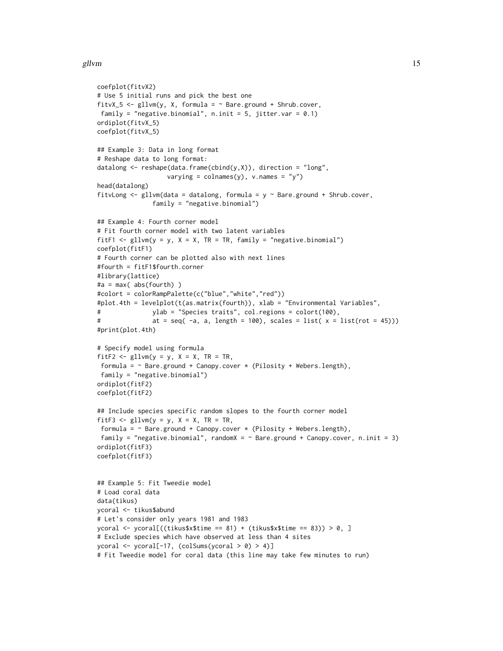#### gllvm and the state of the state of the state of the state of the state of the state of the state of the state of the state of the state of the state of the state of the state of the state of the state of the state of the

```
coefplot(fitvX2)
# Use 5 initial runs and pick the best one
fitvX_5 <- gllvm(y, X, formula = ~Bare.ground + Shrub.cover,family = "negative.binomial", n.init = 5, jitter.var = 0.1)
ordiplot(fitvX_5)
coefplot(fitvX_5)
## Example 3: Data in long format
# Reshape data to long format:
datalong \leq reshape(data.frame(cbind(y,X)), direction = "long",
                   varying = colnames(y), v.names = "y")
head(datalong)
fitvLong \leq gllvm(data = datalong, formula = y \sim Bare.ground + Shrub.cover,
               family = "negative.binomial")
## Example 4: Fourth corner model
# Fit fourth corner model with two latent variables
fitF1 \le gllvm(y = y, X = X, TR = TR, family = "negative.binomial")
coefplot(fitF1)
# Fourth corner can be plotted also with next lines
#fourth = fitF1$fourth.corner
#library(lattice)
#a = max( abs(fourth) )
#colort = colorRampPalette(c("blue","white","red"))
#plot.4th = levelplot(t(as.matrix(fourth)), xlab = "Environmental Variables",
# ylab = "Species traits", col.regions = colort(100),
# at = seq(-a, a, length = 100), scales = list(x = list(root = 45)))#print(plot.4th)
# Specify model using formula
fitF2 \le gllvm(y = y, X = X, TR = TR,
formula = \sim Bare.ground + Canopy.cover * (Pilosity + Webers.length),
 family = "negative.binomial")
ordiplot(fitF2)
coefplot(fitF2)
## Include species specific random slopes to the fourth corner model
fitF3 <- gllvm(y = y, X = X, TR = TR,formula = \sim Bare.ground + Canopy.cover * (Pilosity + Webers.length),
 family = "negative.binomial", randomX = \sim Bare.ground + Canopy.cover, n.init = 3)
ordiplot(fitF3)
coefplot(fitF3)
## Example 5: Fit Tweedie model
# Load coral data
data(tikus)
ycoral <- tikus$abund
# Let's consider only years 1981 and 1983
ycoral <- ycoral[((tikus$x$time == 81) + (tikus$x$time == 83)) > 0, ]
# Exclude species which have observed at less than 4 sites
ycoral <- ycoral[-17, (colSums(ycoral > 0) > 4)]
# Fit Tweedie model for coral data (this line may take few minutes to run)
```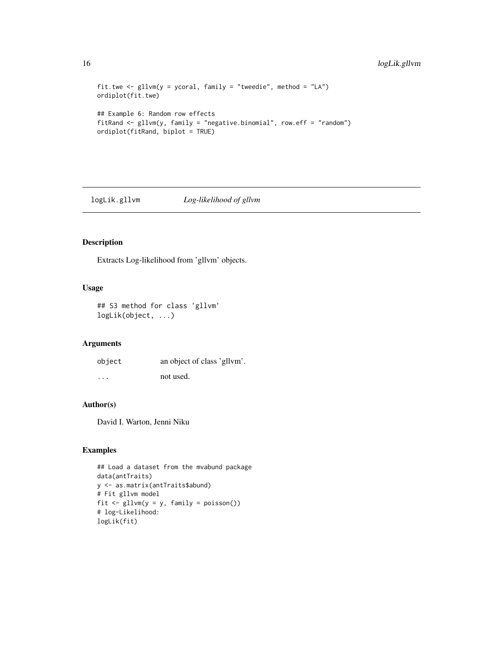```
fit.twe \leq gllvm(y = ycoral, family = "tweedie", method = "LA")
ordiplot(fit.twe)
## Example 6: Random row effects
fitRand <- gllvm(y, family = "negative.binomial", row.eff = "random")
ordiplot(fitRand, biplot = TRUE)
```
logLik.gllvm *Log-likelihood of gllvm*

#### Description

Extracts Log-likelihood from 'gllvm' objects.

# Usage

```
## S3 method for class 'gllvm'
logLik(object, ...)
```
# Arguments

| object  | an object of class 'gllym'. |
|---------|-----------------------------|
| $\cdot$ | not used.                   |

# Author(s)

David I. Warton, Jenni Niku

```
## Load a dataset from the mvabund package
data(antTraits)
y <- as.matrix(antTraits$abund)
# Fit gllvm model
fit \le gllvm(y = y, family = poisson())
# log-Likelihood:
logLik(fit)
```
<span id="page-15-0"></span>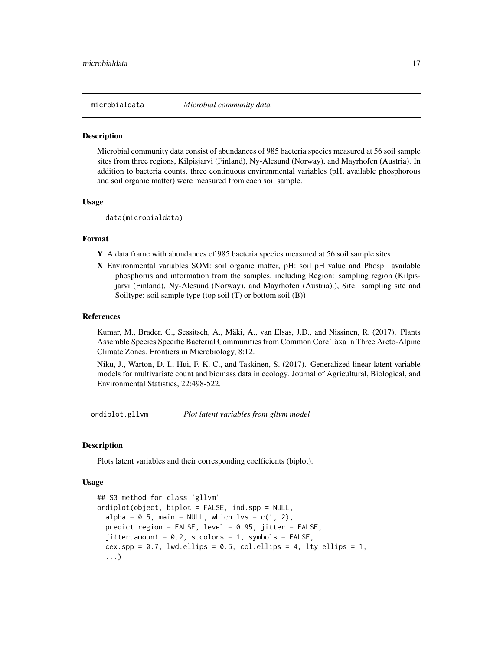<span id="page-16-0"></span>

#### Description

Microbial community data consist of abundances of 985 bacteria species measured at 56 soil sample sites from three regions, Kilpisjarvi (Finland), Ny-Alesund (Norway), and Mayrhofen (Austria). In addition to bacteria counts, three continuous environmental variables (pH, available phosphorous and soil organic matter) were measured from each soil sample.

# Usage

data(microbialdata)

# Format

- Y A data frame with abundances of 985 bacteria species measured at 56 soil sample sites
- X Environmental variables SOM: soil organic matter, pH: soil pH value and Phosp: available phosphorus and information from the samples, including Region: sampling region (Kilpisjarvi (Finland), Ny-Alesund (Norway), and Mayrhofen (Austria).), Site: sampling site and Soiltype: soil sample type (top soil (T) or bottom soil (B))

# References

Kumar, M., Brader, G., Sessitsch, A., Mäki, A., van Elsas, J.D., and Nissinen, R. (2017). Plants Assemble Species Specific Bacterial Communities from Common Core Taxa in Three Arcto-Alpine Climate Zones. Frontiers in Microbiology, 8:12.

Niku, J., Warton, D. I., Hui, F. K. C., and Taskinen, S. (2017). Generalized linear latent variable models for multivariate count and biomass data in ecology. Journal of Agricultural, Biological, and Environmental Statistics, 22:498-522.

<span id="page-16-1"></span>ordiplot.gllvm *Plot latent variables from gllvm model*

#### **Description**

Plots latent variables and their corresponding coefficients (biplot).

```
## S3 method for class 'gllvm'
ordiplot(object, biplot = FALSE, ind.spp = NULL,
  alpha = 0.5, main = NULL, which.lvs = c(1, 2),
 predict.region = FALSE, level = 0.95, jitter = FALSE,
  jitter.annotation = 0.2, s.colors = 1, symbols = <math>FALSE,cex.spp = 0.7, lwd.ellips = 0.5, col.ellips = 4, lty.ellips = 1,
  ...)
```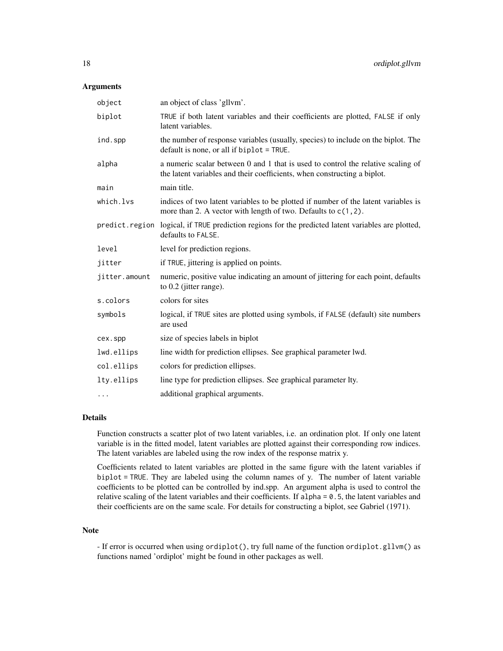| object        | an object of class 'gllvm'.                                                                                                                                  |
|---------------|--------------------------------------------------------------------------------------------------------------------------------------------------------------|
| biplot        | TRUE if both latent variables and their coefficients are plotted, FALSE if only<br>latent variables.                                                         |
| ind.spp       | the number of response variables (usually, species) to include on the biplot. The<br>default is none, or all if biplot = TRUE.                               |
| alpha         | a numeric scalar between 0 and 1 that is used to control the relative scaling of<br>the latent variables and their coefficients, when constructing a biplot. |
| main          | main title.                                                                                                                                                  |
| which.lvs     | indices of two latent variables to be plotted if number of the latent variables is<br>more than 2. A vector with length of two. Defaults to $c(1, 2)$ .      |
|               | predict. region logical, if TRUE prediction regions for the predicted latent variables are plotted,<br>defaults to FALSE.                                    |
| level         | level for prediction regions.                                                                                                                                |
| jitter        | if TRUE, jittering is applied on points.                                                                                                                     |
| jitter.amount | numeric, positive value indicating an amount of jittering for each point, defaults<br>to 0.2 (jitter range).                                                 |
| s.colors      | colors for sites                                                                                                                                             |
| symbols       | logical, if TRUE sites are plotted using symbols, if FALSE (default) site numbers<br>are used                                                                |
| cex.spp       | size of species labels in biplot                                                                                                                             |
| lwd.ellips    | line width for prediction ellipses. See graphical parameter lwd.                                                                                             |
| col.ellips    | colors for prediction ellipses.                                                                                                                              |
| lty.ellips    | line type for prediction ellipses. See graphical parameter lty.                                                                                              |
| $\cdots$      | additional graphical arguments.                                                                                                                              |

# Details

Function constructs a scatter plot of two latent variables, i.e. an ordination plot. If only one latent variable is in the fitted model, latent variables are plotted against their corresponding row indices. The latent variables are labeled using the row index of the response matrix y.

Coefficients related to latent variables are plotted in the same figure with the latent variables if biplot = TRUE. They are labeled using the column names of y. The number of latent variable coefficients to be plotted can be controlled by ind.spp. An argument alpha is used to control the relative scaling of the latent variables and their coefficients. If alpha = 0.5, the latent variables and their coefficients are on the same scale. For details for constructing a biplot, see Gabriel (1971).

# Note

- If error is occurred when using ordiplot(), try full name of the function ordiplot.gllvm() as functions named 'ordiplot' might be found in other packages as well.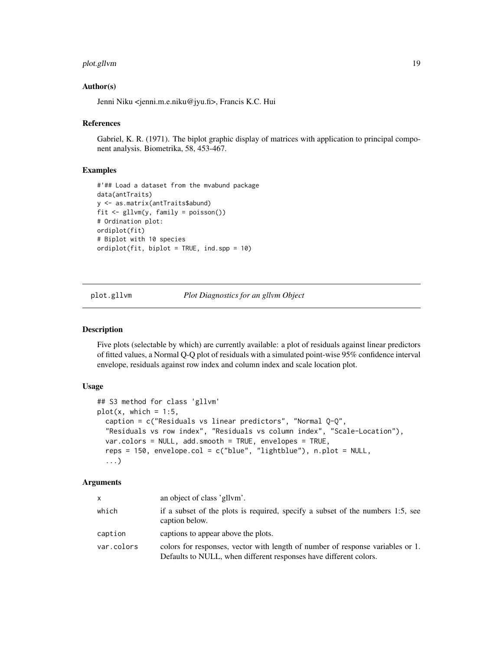# <span id="page-18-0"></span>plot.gllvm 19

# Author(s)

Jenni Niku <jenni.m.e.niku@jyu.fi>, Francis K.C. Hui

#### References

Gabriel, K. R. (1971). The biplot graphic display of matrices with application to principal component analysis. Biometrika, 58, 453-467.

#### Examples

```
#'## Load a dataset from the mvabund package
data(antTraits)
y <- as.matrix(antTraits$abund)
fit <- gllvm(y, family = poisson())
# Ordination plot:
ordiplot(fit)
# Biplot with 10 species
ordiplot(fit, biplot = TRUE, ind.spp = 10)
```
<span id="page-18-1"></span>plot.gllvm *Plot Diagnostics for an gllvm Object*

# Description

Five plots (selectable by which) are currently available: a plot of residuals against linear predictors of fitted values, a Normal Q-Q plot of residuals with a simulated point-wise 95% confidence interval envelope, residuals against row index and column index and scale location plot.

# Usage

```
## S3 method for class 'gllvm'
plot(x, which = 1:5,caption = c("Residuals vs linear predictors", "Normal Q-Q",
  "Residuals vs row index", "Residuals vs column index", "Scale-Location"),
  var.colors = NULL, add.smooth = TRUE, envelopes = TRUE,
  reps = 150, envelope.col = c("blue", "lightblue"), n.plot = NULL,...)
```
# Arguments

| $\mathsf{x}$ | an object of class 'gllym'.                                                                                                                         |
|--------------|-----------------------------------------------------------------------------------------------------------------------------------------------------|
| which        | if a subset of the plots is required, specify a subset of the numbers 1:5, see<br>caption below.                                                    |
| caption      | captions to appear above the plots.                                                                                                                 |
| var.colors   | colors for responses, vector with length of number of response variables or 1.<br>Defaults to NULL, when different responses have different colors. |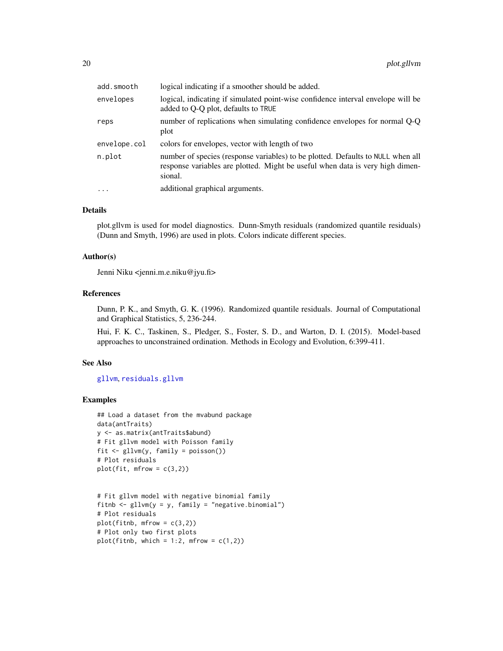<span id="page-19-0"></span>

| add.smooth   | logical indicating if a smoother should be added.                                                                                                                           |
|--------------|-----------------------------------------------------------------------------------------------------------------------------------------------------------------------------|
| envelopes    | logical, indicating if simulated point-wise confidence interval envelope will be<br>added to Q-Q plot, defaults to TRUE                                                     |
| reps         | number of replications when simulating confidence envelopes for normal Q-Q<br>plot                                                                                          |
| envelope.col | colors for envelopes, vector with length of two                                                                                                                             |
| n.plot       | number of species (response variables) to be plotted. Defaults to NULL when all<br>response variables are plotted. Might be useful when data is very high dimen-<br>sional. |
| $\cdots$     | additional graphical arguments.                                                                                                                                             |
|              |                                                                                                                                                                             |

#### Details

plot.gllvm is used for model diagnostics. Dunn-Smyth residuals (randomized quantile residuals) (Dunn and Smyth, 1996) are used in plots. Colors indicate different species.

# Author(s)

Jenni Niku <jenni.m.e.niku@jyu.fi>

# References

Dunn, P. K., and Smyth, G. K. (1996). Randomized quantile residuals. Journal of Computational and Graphical Statistics, 5, 236-244.

Hui, F. K. C., Taskinen, S., Pledger, S., Foster, S. D., and Warton, D. I. (2015). Model-based approaches to unconstrained ordination. Methods in Ecology and Evolution, 6:399-411.

# See Also

# [gllvm](#page-8-1), [residuals.gllvm](#page-23-1)

```
## Load a dataset from the mvabund package
data(antTraits)
y <- as.matrix(antTraits$abund)
# Fit gllvm model with Poisson family
fit <- gllvm(y, family = poisson())
# Plot residuals
plot(fit, mfrow = c(3,2))
```

```
# Fit gllvm model with negative binomial family
fitnb \leq gllvm(y = y, family = "negative.binomial")
# Plot residuals
plot(fithb, mfrow = c(3,2))# Plot only two first plots
plot(fitnb, which = 1:2, mfrow = c(1,2))
```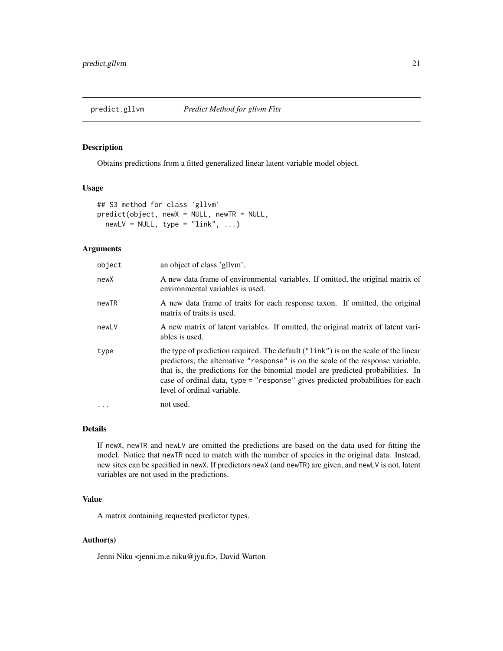# <span id="page-20-0"></span>Description

Obtains predictions from a fitted generalized linear latent variable model object.

# Usage

```
## S3 method for class 'gllvm'
predict(object, newX = NULL, newTR = NULL,
 newLV = NULL, type = "link", ...)
```
# Arguments

| object    | an object of class 'gllvm'.                                                                                                                                                                                                                                                                                                                                                |
|-----------|----------------------------------------------------------------------------------------------------------------------------------------------------------------------------------------------------------------------------------------------------------------------------------------------------------------------------------------------------------------------------|
| newX      | A new data frame of environmental variables. If omitted, the original matrix of<br>environmental variables is used.                                                                                                                                                                                                                                                        |
| newTR     | A new data frame of traits for each response taxon. If omitted, the original<br>matrix of traits is used.                                                                                                                                                                                                                                                                  |
| newLV     | A new matrix of latent variables. If omitted, the original matrix of latent vari-<br>ables is used.                                                                                                                                                                                                                                                                        |
| type      | the type of prediction required. The default ("link") is on the scale of the linear<br>predictors; the alternative "response" is on the scale of the response variable.<br>that is, the predictions for the binomial model are predicted probabilities. In<br>case of ordinal data, type = "response" gives predicted probabilities for each<br>level of ordinal variable. |
| $\ddotsc$ | not used.                                                                                                                                                                                                                                                                                                                                                                  |

#### Details

If newX, newTR and newLV are omitted the predictions are based on the data used for fitting the model. Notice that newTR need to match with the number of species in the original data. Instead, new sites can be specified in newX. If predictors newX (and newTR) are given, and newLV is not, latent variables are not used in the predictions.

# Value

A matrix containing requested predictor types.

# Author(s)

Jenni Niku <jenni.m.e.niku@jyu.fi>, David Warton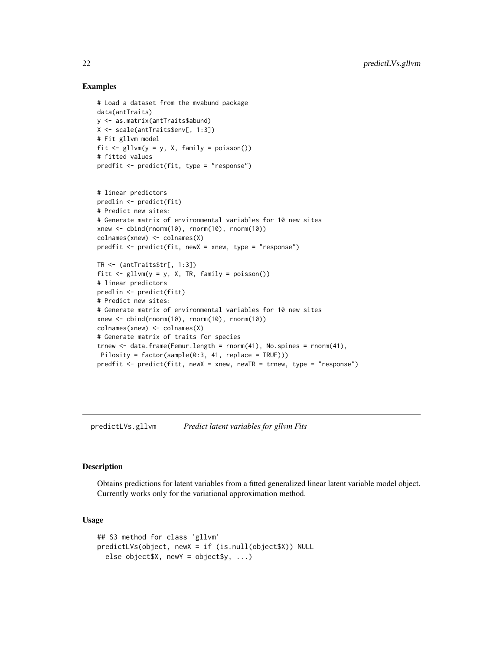# Examples

```
# Load a dataset from the mvabund package
data(antTraits)
y <- as.matrix(antTraits$abund)
X <- scale(antTraits$env[, 1:3])
# Fit gllvm model
fit \le gllvm(y = y, X, family = poisson())
# fitted values
predfit <- predict(fit, type = "response")
# linear predictors
predlin <- predict(fit)
# Predict new sites:
# Generate matrix of environmental variables for 10 new sites
xnew <- cbind(rnorm(10), rnorm(10), rnorm(10))
colnames(xnew) <- colnames(X)
predfit <- predict(fit, newX = xnew, type = "response")
TR <- (antTraits$tr[, 1:3])
fitt \le gllvm(y = y, X, TR, family = poisson())
# linear predictors
predlin <- predict(fitt)
# Predict new sites:
# Generate matrix of environmental variables for 10 new sites
xnew <- cbind(rnorm(10), rnorm(10), rnorm(10))
colnames(xnew) <- colnames(X)
# Generate matrix of traits for species
trnew \leq data.frame(Femur.length = rnorm(41), No.spines = rnorm(41),
Pilosity = factor(sample(0:3, 41, replace = TRUE)))
predfit <- predict(fitt, newX = xnew, newTR = trnew, type = "response")
```
predictLVs.gllvm *Predict latent variables for gllvm Fits*

#### Description

Obtains predictions for latent variables from a fitted generalized linear latent variable model object. Currently works only for the variational approximation method.

```
## S3 method for class 'gllvm'
predictLVs(object, newX = if (is.null(object$X)) NULL
  else object$X, newY = object$y, ...)
```
<span id="page-21-0"></span>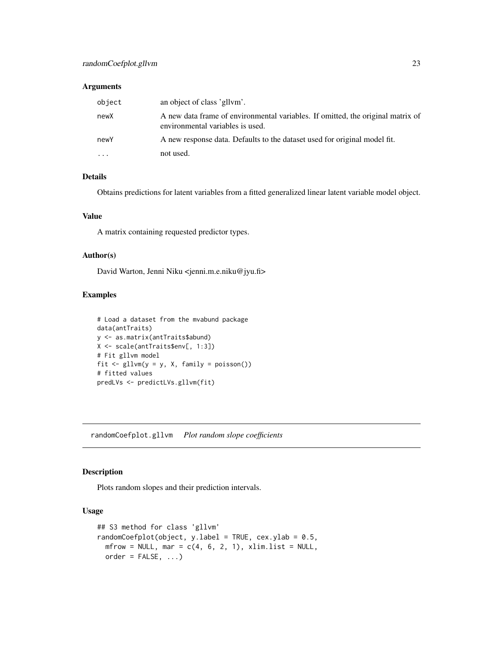<span id="page-22-0"></span>

| object                  | an object of class 'gllym'.                                                                                         |
|-------------------------|---------------------------------------------------------------------------------------------------------------------|
| newX                    | A new data frame of environmental variables. If omitted, the original matrix of<br>environmental variables is used. |
| newY                    | A new response data. Defaults to the dataset used for original model fit.                                           |
| $\cdot$ $\cdot$ $\cdot$ | not used.                                                                                                           |

# Details

Obtains predictions for latent variables from a fitted generalized linear latent variable model object.

# Value

A matrix containing requested predictor types.

# Author(s)

David Warton, Jenni Niku <jenni.m.e.niku@jyu.fi>

# Examples

```
# Load a dataset from the mvabund package
data(antTraits)
y <- as.matrix(antTraits$abund)
X <- scale(antTraits$env[, 1:3])
# Fit gllvm model
fit \leq gllvm(y = y, X, family = poisson())
# fitted values
predLVs <- predictLVs.gllvm(fit)
```
randomCoefplot.gllvm *Plot random slope coefficients*

# Description

Plots random slopes and their prediction intervals.

```
## S3 method for class 'gllvm'
randomCoefplot(object, y.label = TRUE, cex.ylab = 0.5,
 mfrow = NULL, mar = c(4, 6, 2, 1), xlim. list = NULL,
 order = FALSE, ...)
```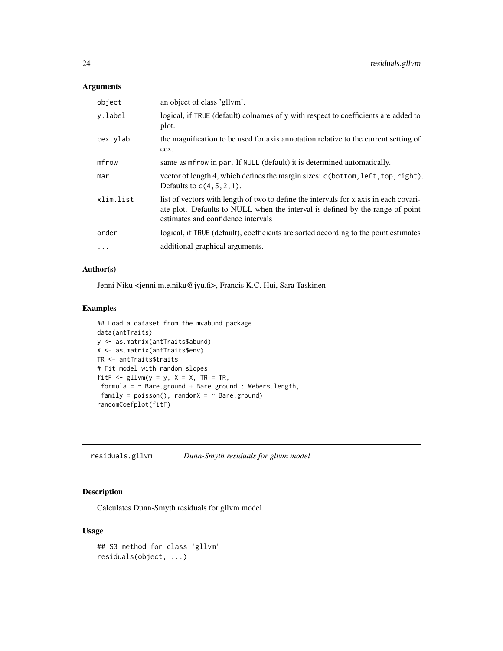<span id="page-23-0"></span>

| object     | an object of class 'gllym'.                                                                                                                                                                                  |
|------------|--------------------------------------------------------------------------------------------------------------------------------------------------------------------------------------------------------------|
| y.label    | logical, if TRUE (default) colnames of y with respect to coefficients are added to<br>plot.                                                                                                                  |
| cex.ylab   | the magnification to be used for axis annotation relative to the current setting of<br>cex.                                                                                                                  |
| mfrow      | same as merow in par. If NULL (default) it is determined automatically.                                                                                                                                      |
| mar        | vector of length 4, which defines the margin sizes: c(bottom, left, top, right).<br>Defaults to $c(4,5,2,1)$ .                                                                                               |
| xlim.list  | list of vectors with length of two to define the intervals for x axis in each covari-<br>ate plot. Defaults to NULL when the interval is defined by the range of point<br>estimates and confidence intervals |
| order      | logical, if TRUE (default), coefficients are sorted according to the point estimates                                                                                                                         |
| $\ddots$ . | additional graphical arguments.                                                                                                                                                                              |

# Author(s)

Jenni Niku <jenni.m.e.niku@jyu.fi>, Francis K.C. Hui, Sara Taskinen

# Examples

```
## Load a dataset from the mvabund package
data(antTraits)
y <- as.matrix(antTraits$abund)
X <- as.matrix(antTraits$env)
TR <- antTraits$traits
# Fit model with random slopes
fitF \le gllvm(y = y, X = X, TR = TR,
 formula = ~ Bare.ground + Bare.ground : Webers.length,
 family = poisson(), randomX = \sim Bare.ground)
randomCoefplot(fitF)
```
<span id="page-23-1"></span>residuals.gllvm *Dunn-Smyth residuals for gllvm model*

# Description

Calculates Dunn-Smyth residuals for gllvm model.

```
## S3 method for class 'gllvm'
residuals(object, ...)
```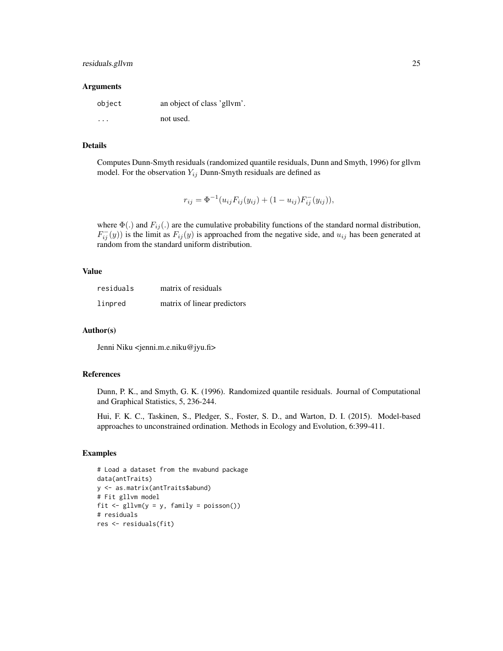# residuals.gllvm 25

#### **Arguments**

| object  | an object of class 'gllvm'. |
|---------|-----------------------------|
| $\cdot$ | not used.                   |

# Details

Computes Dunn-Smyth residuals (randomized quantile residuals, Dunn and Smyth, 1996) for gllvm model. For the observation  $Y_{ij}$  Dunn-Smyth residuals are defined as

$$
r_{ij} = \Phi^{-1}(u_{ij}F_{ij}(y_{ij}) + (1 - u_{ij})F_{ij}^{-}(y_{ij})),
$$

where  $\Phi(.)$  and  $F_{ij}(.)$  are the cumulative probability functions of the standard normal distribution,  $F_{ij}^{-}(y)$ ) is the limit as  $F_{ij}(y)$  is approached from the negative side, and  $u_{ij}$  has been generated at random from the standard uniform distribution.

# Value

| residuals | matrix of residuals         |
|-----------|-----------------------------|
| linpred   | matrix of linear predictors |

# Author(s)

Jenni Niku <jenni.m.e.niku@jyu.fi>

#### References

Dunn, P. K., and Smyth, G. K. (1996). Randomized quantile residuals. Journal of Computational and Graphical Statistics, 5, 236-244.

Hui, F. K. C., Taskinen, S., Pledger, S., Foster, S. D., and Warton, D. I. (2015). Model-based approaches to unconstrained ordination. Methods in Ecology and Evolution, 6:399-411.

```
# Load a dataset from the mvabund package
data(antTraits)
y <- as.matrix(antTraits$abund)
# Fit gllvm model
fit \le gllvm(y = y, family = poisson())
# residuals
res <- residuals(fit)
```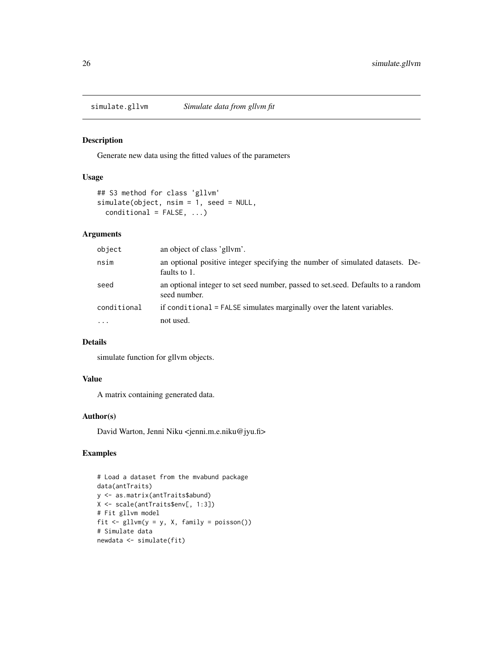<span id="page-25-0"></span>

# Description

Generate new data using the fitted values of the parameters

### Usage

```
## S3 method for class 'gllvm'
simulate(object, nsim = 1, seed = NULL,
  conditional = FALSE, ...)
```
# Arguments

| object      | an object of class 'gllym'.                                                                      |
|-------------|--------------------------------------------------------------------------------------------------|
| nsim        | an optional positive integer specifying the number of simulated datasets. De-<br>faults to 1.    |
| seed        | an optional integer to set seed number, passed to set seed. Defaults to a random<br>seed number. |
| conditional | if conditional = FALSE simulates marginally over the latent variables.                           |
| $\ddotsc$   | not used.                                                                                        |

# Details

simulate function for gllvm objects.

# Value

A matrix containing generated data.

# Author(s)

David Warton, Jenni Niku <jenni.m.e.niku@jyu.fi>

```
# Load a dataset from the mvabund package
data(antTraits)
y <- as.matrix(antTraits$abund)
X <- scale(antTraits$env[, 1:3])
# Fit gllvm model
fit \le gllvm(y = y, X, family = poisson())
# Simulate data
newdata <- simulate(fit)
```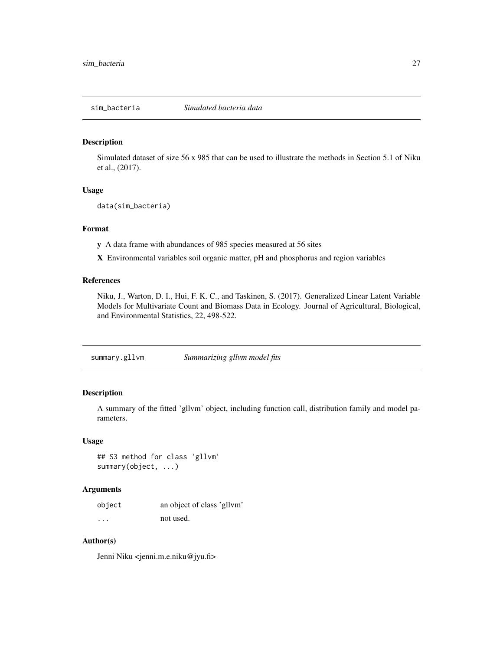<span id="page-26-0"></span>

#### Description

Simulated dataset of size 56 x 985 that can be used to illustrate the methods in Section 5.1 of Niku et al., (2017).

#### Usage

data(sim\_bacteria)

# Format

y A data frame with abundances of 985 species measured at 56 sites

X Environmental variables soil organic matter, pH and phosphorus and region variables

# References

Niku, J., Warton, D. I., Hui, F. K. C., and Taskinen, S. (2017). Generalized Linear Latent Variable Models for Multivariate Count and Biomass Data in Ecology. Journal of Agricultural, Biological, and Environmental Statistics, 22, 498-522.

<span id="page-26-1"></span>summary.gllvm *Summarizing gllvm model fits*

# Description

A summary of the fitted 'gllvm' object, including function call, distribution family and model parameters.

# Usage

## S3 method for class 'gllvm' summary(object, ...)

# Arguments

| object   | an object of class 'gllvm' |
|----------|----------------------------|
| $\cdots$ | not used.                  |

# Author(s)

Jenni Niku <jenni.m.e.niku@jyu.fi>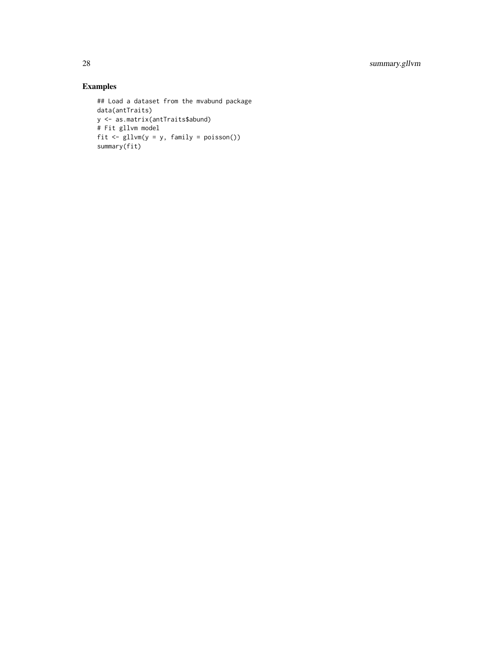```
## Load a dataset from the mvabund package
data(antTraits)
y <- as.matrix(antTraits$abund)
# Fit gllvm model
fit <- gllvm(y = y, family = poisson())
summary(fit)
```